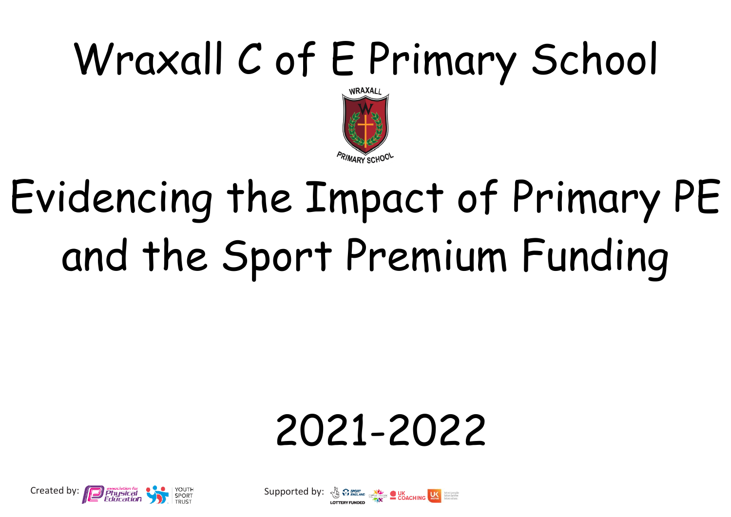## Wraxall C of E Primary School



## Evidencing the Impact of Primary PE and the Sport Premium Funding

## 2021-2022



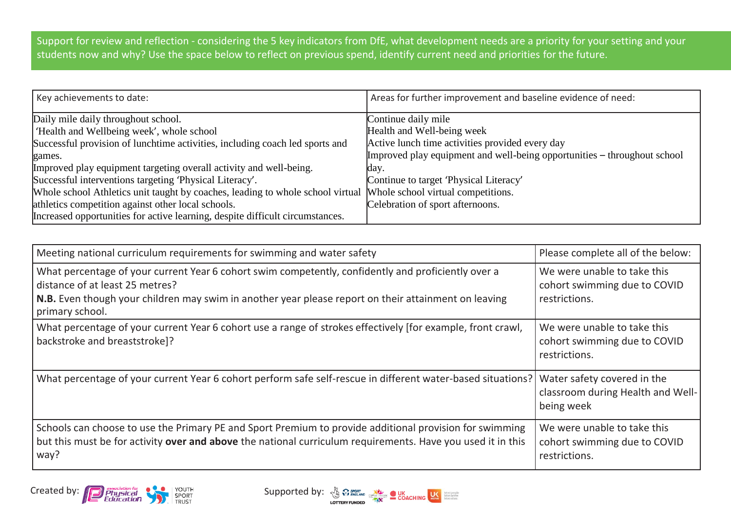Support for review and reflection - considering the 5 key indicators from DfE, what development needs are a priority for your setting and your students now and why? Use the space below to reflect on previous spend, identify current need and priorities for the future.

| Key achievements to date:                                                      | Areas for further improvement and baseline evidence of need:             |
|--------------------------------------------------------------------------------|--------------------------------------------------------------------------|
| Daily mile daily throughout school.                                            | Continue daily mile                                                      |
| 'Health and Wellbeing week', whole school                                      | Health and Well-being week                                               |
| Successful provision of lunchtime activities, including coach led sports and   | Active lunch time activities provided every day                          |
| games.                                                                         | Improved play equipment and well-being opportunities – throughout school |
| Improved play equipment targeting overall activity and well-being.             | day.                                                                     |
| Successful interventions targeting 'Physical Literacy'.                        | Continue to target 'Physical Literacy'                                   |
| Whole school Athletics unit taught by coaches, leading to whole school virtual | Whole school virtual competitions.                                       |
| athletics competition against other local schools.                             | Celebration of sport afternoons.                                         |
| Increased opportunities for active learning, despite difficult circumstances.  |                                                                          |

| Meeting national curriculum requirements for swimming and water safety                                                                                                                                                                                            | Please complete all of the below:                                              |
|-------------------------------------------------------------------------------------------------------------------------------------------------------------------------------------------------------------------------------------------------------------------|--------------------------------------------------------------------------------|
| What percentage of your current Year 6 cohort swim competently, confidently and proficiently over a<br>distance of at least 25 metres?<br>N.B. Even though your children may swim in another year please report on their attainment on leaving<br>primary school. | We were unable to take this<br>cohort swimming due to COVID<br>restrictions.   |
| What percentage of your current Year 6 cohort use a range of strokes effectively [for example, front crawl,<br>backstroke and breaststroke]?                                                                                                                      | We were unable to take this<br>cohort swimming due to COVID<br>restrictions.   |
| What percentage of your current Year 6 cohort perform safe self-rescue in different water-based situations?                                                                                                                                                       | Water safety covered in the<br>classroom during Health and Well-<br>being week |
| Schools can choose to use the Primary PE and Sport Premium to provide additional provision for swimming<br>but this must be for activity over and above the national curriculum requirements. Have you used it in this<br>way?                                    | We were unable to take this<br>cohort swimming due to COVID<br>restrictions.   |



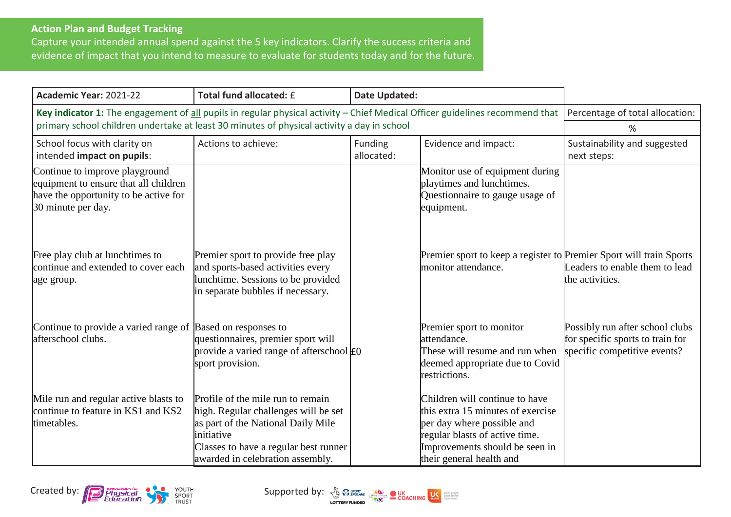## **Action Plan and Budget Tracking**

Capture your intended annual spend against the 5 key indicators. Clarify the success criteria and evidence of impact that you intend to measure to evaluate for students today and for the future.

| Academic Year: 2021-22                                                                                                                 | Total fund allocated: £                                                                                                                                                                                    | <b>Date Updated:</b>  |                                                                                                                                                                                                   |                                                                                                     |
|----------------------------------------------------------------------------------------------------------------------------------------|------------------------------------------------------------------------------------------------------------------------------------------------------------------------------------------------------------|-----------------------|---------------------------------------------------------------------------------------------------------------------------------------------------------------------------------------------------|-----------------------------------------------------------------------------------------------------|
| Key indicator 1: The engagement of all pupils in regular physical activity - Chief Medical Officer guidelines recommend that           |                                                                                                                                                                                                            |                       |                                                                                                                                                                                                   | Percentage of total allocation:                                                                     |
| primary school children undertake at least 30 minutes of physical activity a day in school                                             | ℅                                                                                                                                                                                                          |                       |                                                                                                                                                                                                   |                                                                                                     |
| School focus with clarity on<br>intended impact on pupils:                                                                             | Actions to achieve:                                                                                                                                                                                        | Funding<br>allocated: | Evidence and impact:                                                                                                                                                                              | Sustainability and suggested<br>next steps:                                                         |
| Continue to improve playground<br>equipment to ensure that all children<br>have the opportunity to be active for<br>30 minute per day. |                                                                                                                                                                                                            |                       | Monitor use of equipment during<br>playtimes and lunchtimes.<br>Questionnaire to gauge usage of<br>equipment.                                                                                     |                                                                                                     |
| Free play club at lunchtimes to<br>continue and extended to cover each<br>age group.                                                   | Premier sport to provide free play<br>and sports-based activities every<br>lunchtime. Sessions to be provided<br>in separate bubbles if necessary.                                                         |                       | Premier sport to keep a register to Premier Sport will train Sports<br>monitor attendance.                                                                                                        | Leaders to enable them to lead<br>the activities.                                                   |
| Continue to provide a varied range of Based on responses to<br>afterschool clubs.                                                      | questionnaires, premier sport will<br>provide a varied range of afterschool $E_0$<br>sport provision.                                                                                                      |                       | Premier sport to monitor<br>attendance.<br>These will resume and run when<br>deemed appropriate due to Covid<br>restrictions.                                                                     | Possibly run after school clubs<br>for specific sports to train for<br>specific competitive events? |
| Mile run and regular active blasts to<br>continue to feature in KS1 and KS2<br>timetables.                                             | Profile of the mile run to remain<br>high. Regular challenges will be set<br>as part of the National Daily Mile<br>initiative<br>Classes to have a regular best runner<br>awarded in celebration assembly. |                       | Children will continue to have<br>this extra 15 minutes of exercise<br>per day where possible and<br>regular blasts of active time.<br>Improvements should be seen in<br>their general health and |                                                                                                     |



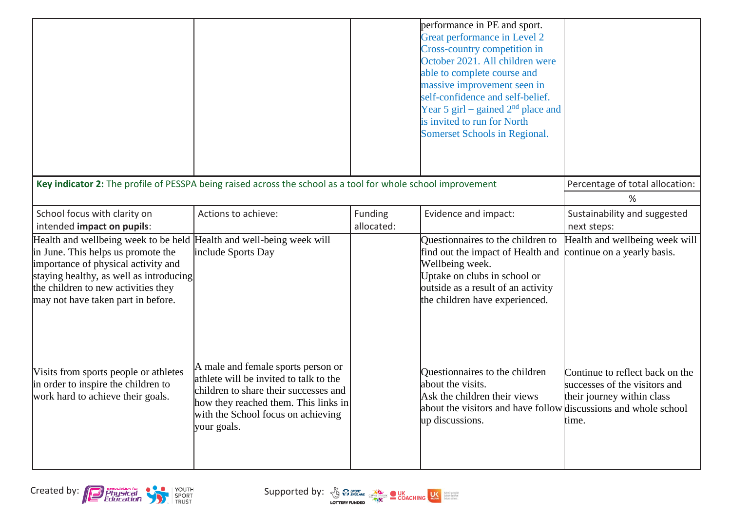|                                                                                                                                                                                                                                                                           |                                                                                                                                                                                                                    |                       | performance in PE and sport.<br>Great performance in Level 2<br>Cross-country competition in<br>October 2021. All children were<br>able to complete course and<br>massive improvement seen in<br>self-confidence and self-belief.<br>Year 5 girl – gained $2nd$ place and<br>is invited to run for North<br>Somerset Schools in Regional. |                                                                                                         |
|---------------------------------------------------------------------------------------------------------------------------------------------------------------------------------------------------------------------------------------------------------------------------|--------------------------------------------------------------------------------------------------------------------------------------------------------------------------------------------------------------------|-----------------------|-------------------------------------------------------------------------------------------------------------------------------------------------------------------------------------------------------------------------------------------------------------------------------------------------------------------------------------------|---------------------------------------------------------------------------------------------------------|
| Key indicator 2: The profile of PESSPA being raised across the school as a tool for whole school improvement                                                                                                                                                              |                                                                                                                                                                                                                    |                       |                                                                                                                                                                                                                                                                                                                                           | Percentage of total allocation:<br>%                                                                    |
| School focus with clarity on<br>intended impact on pupils:                                                                                                                                                                                                                | Actions to achieve:                                                                                                                                                                                                | Funding<br>allocated: | Evidence and impact:                                                                                                                                                                                                                                                                                                                      | Sustainability and suggested<br>next steps:                                                             |
| Health and wellbeing week to be held Health and well-being week will<br>in June. This helps us promote the<br>importance of physical activity and<br>staying healthy, as well as introducing<br>the children to new activities they<br>may not have taken part in before. | include Sports Day                                                                                                                                                                                                 |                       | Questionnaires to the children to<br>find out the impact of Health and<br>Wellbeing week.<br>Uptake on clubs in school or<br>outside as a result of an activity<br>the children have experienced.                                                                                                                                         | Health and wellbeing week will<br>continue on a yearly basis.                                           |
| Visits from sports people or athletes<br>in order to inspire the children to<br>work hard to achieve their goals.                                                                                                                                                         | A male and female sports person or<br>athlete will be invited to talk to the<br>children to share their successes and<br>how they reached them. This links in<br>with the School focus on achieving<br>your goals. |                       | Questionnaires to the children<br>about the visits.<br>Ask the children their views<br>about the visitors and have follow discussions and whole school<br>up discussions.                                                                                                                                                                 | Continue to reflect back on the<br>successes of the visitors and<br>their journey within class<br>time. |



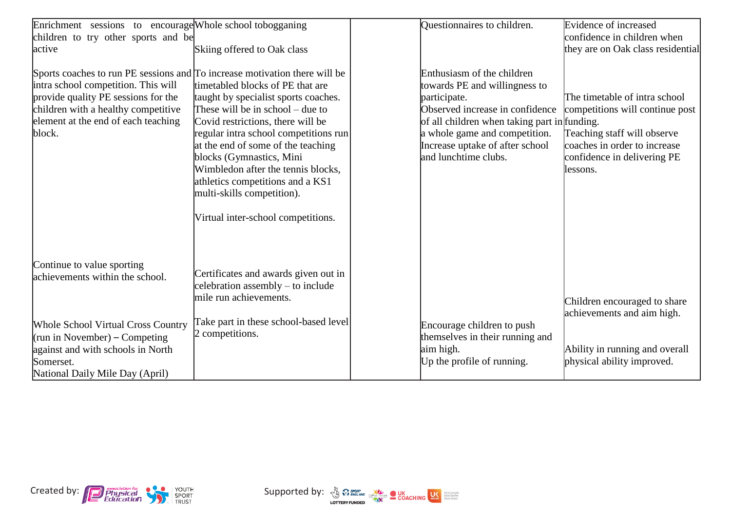| Enrichment sessions to encourage Whole school tobogganing                  |                                                          | Questionnaires to children.                  | Evidence of increased             |
|----------------------------------------------------------------------------|----------------------------------------------------------|----------------------------------------------|-----------------------------------|
| children to try other sports and be                                        |                                                          |                                              | confidence in children when       |
| active                                                                     | Skiing offered to Oak class                              |                                              | they are on Oak class residential |
|                                                                            |                                                          |                                              |                                   |
| Sports coaches to run PE sessions and To increase motivation there will be |                                                          | Enthusiasm of the children                   |                                   |
| intra school competition. This will                                        | timetabled blocks of PE that are                         | towards PE and willingness to                |                                   |
| provide quality PE sessions for the                                        | taught by specialist sports coaches.                     | participate.                                 | The timetable of intra school     |
| children with a healthy competitive                                        | These will be in school $-$ due to                       | Observed increase in confidence              | competitions will continue post   |
| element at the end of each teaching                                        | Covid restrictions, there will be                        | of all children when taking part in funding. |                                   |
| block.                                                                     | regular intra school competitions run                    | a whole game and competition.                | Teaching staff will observe       |
|                                                                            | at the end of some of the teaching                       | Increase uptake of after school              | coaches in order to increase      |
|                                                                            | blocks (Gymnastics, Mini                                 | and lunchtime clubs.                         | confidence in delivering PE       |
|                                                                            | Wimbledon after the tennis blocks,                       |                                              | llessons.                         |
|                                                                            | athletics competitions and a KS1                         |                                              |                                   |
|                                                                            | multi-skills competition).                               |                                              |                                   |
|                                                                            | Virtual inter-school competitions.                       |                                              |                                   |
|                                                                            |                                                          |                                              |                                   |
|                                                                            |                                                          |                                              |                                   |
|                                                                            |                                                          |                                              |                                   |
| Continue to value sporting                                                 |                                                          |                                              |                                   |
| achievements within the school.                                            | Certificates and awards given out in                     |                                              |                                   |
|                                                                            | celebration assembly – to include                        |                                              |                                   |
|                                                                            | mile run achievements.                                   |                                              | Children encouraged to share      |
|                                                                            |                                                          |                                              | achievements and aim high.        |
| <b>Whole School Virtual Cross Country</b>                                  | Take part in these school-based level<br>2 competitions. | Encourage children to push                   |                                   |
| (run in November) – Competing                                              |                                                          | themselves in their running and              |                                   |
| against and with schools in North                                          |                                                          | aim high.                                    | Ability in running and overall    |
| Somerset.                                                                  |                                                          | Up the profile of running.                   | physical ability improved.        |
| National Daily Mile Day (April)                                            |                                                          |                                              |                                   |



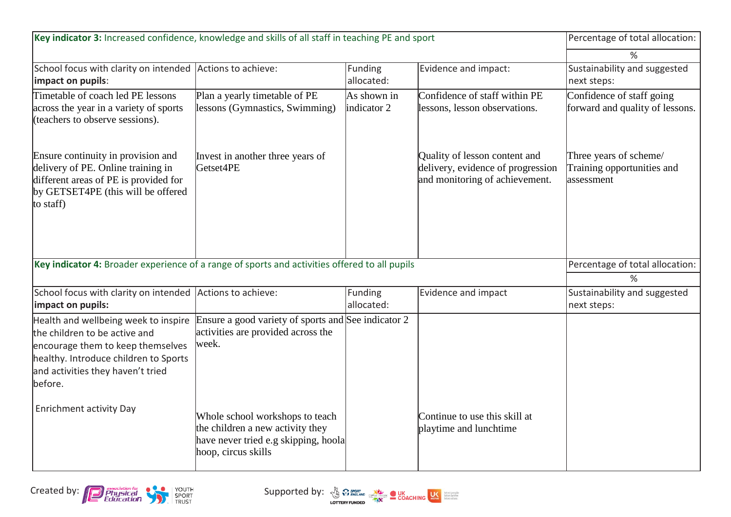| Key indicator 3: Increased confidence, knowledge and skills of all staff in teaching PE and sport                                                                                                   | Percentage of total allocation:                                                                                                    |                            |                                                                                                      |                                                                    |
|-----------------------------------------------------------------------------------------------------------------------------------------------------------------------------------------------------|------------------------------------------------------------------------------------------------------------------------------------|----------------------------|------------------------------------------------------------------------------------------------------|--------------------------------------------------------------------|
|                                                                                                                                                                                                     | %                                                                                                                                  |                            |                                                                                                      |                                                                    |
| School focus with clarity on intended<br>impact on pupils:                                                                                                                                          | Actions to achieve:                                                                                                                | Funding<br>allocated:      | Evidence and impact:                                                                                 | Sustainability and suggested<br>next steps:                        |
| Timetable of coach led PE lessons<br>across the year in a variety of sports<br>(teachers to observe sessions).                                                                                      | Plan a yearly timetable of PE<br>lessons (Gymnastics, Swimming)                                                                    | As shown in<br>indicator 2 | Confidence of staff within PE<br>lessons, lesson observations.                                       | Confidence of staff going<br>forward and quality of lessons.       |
| Ensure continuity in provision and<br>delivery of PE. Online training in<br>different areas of PE is provided for<br>by GETSET4PE (this will be offered<br>to staff)                                | Invest in another three years of<br>Getset4PE                                                                                      |                            | Quality of lesson content and<br>delivery, evidence of progression<br>and monitoring of achievement. | Three years of scheme/<br>Training opportunities and<br>assessment |
| Key indicator 4: Broader experience of a range of sports and activities offered to all pupils                                                                                                       |                                                                                                                                    |                            |                                                                                                      | Percentage of total allocation:                                    |
|                                                                                                                                                                                                     | %                                                                                                                                  |                            |                                                                                                      |                                                                    |
| School focus with clarity on intended<br>impact on pupils:                                                                                                                                          | Actions to achieve:                                                                                                                | Funding<br>allocated:      | Evidence and impact                                                                                  | Sustainability and suggested<br>next steps:                        |
| Health and wellbeing week to inspire<br>the children to be active and<br>encourage them to keep themselves<br>healthy. Introduce children to Sports<br>and activities they haven't tried<br>before. | Ensure a good variety of sports and See indicator 2<br>activities are provided across the<br>week.                                 |                            |                                                                                                      |                                                                    |
| <b>Enrichment activity Day</b>                                                                                                                                                                      | Whole school workshops to teach<br>the children a new activity they<br>have never tried e.g skipping, hoola<br>hoop, circus skills |                            | Continue to use this skill at<br>playtime and lunchtime                                              |                                                                    |

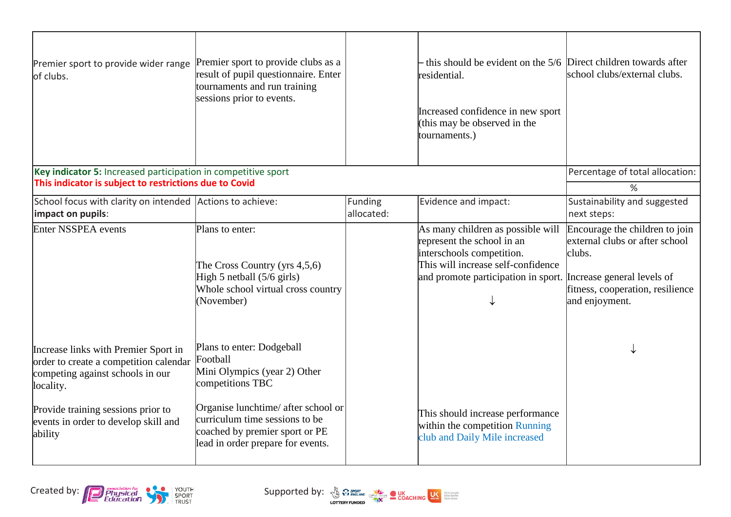| Premier sport to provide wider range<br>of clubs.                                                                                                                     | Premier sport to provide clubs as a<br>result of pupil questionnaire. Enter<br>tournaments and run training<br>sessions prior to events. |                       | - this should be evident on the 5/6 Direct children towards after<br>residential.<br>Increased confidence in new sport<br>(this may be observed in the<br>tournaments.)                              | school clubs/external clubs.                                                                                                     |
|-----------------------------------------------------------------------------------------------------------------------------------------------------------------------|------------------------------------------------------------------------------------------------------------------------------------------|-----------------------|------------------------------------------------------------------------------------------------------------------------------------------------------------------------------------------------------|----------------------------------------------------------------------------------------------------------------------------------|
| Key indicator 5: Increased participation in competitive sport                                                                                                         |                                                                                                                                          |                       |                                                                                                                                                                                                      | Percentage of total allocation:                                                                                                  |
| This indicator is subject to restrictions due to Covid                                                                                                                |                                                                                                                                          |                       |                                                                                                                                                                                                      | $\%$                                                                                                                             |
| School focus with clarity on intended Actions to achieve:<br>impact on pupils:                                                                                        |                                                                                                                                          | Funding<br>allocated: | Evidence and impact:                                                                                                                                                                                 | Sustainability and suggested<br>next steps:                                                                                      |
| Enter NSSPEA events                                                                                                                                                   | Plans to enter:<br>The Cross Country (yrs $4,5,6$ )<br>High 5 netball $(5/6$ girls)<br>Whole school virtual cross country<br>(November)  |                       | As many children as possible will<br>represent the school in an<br>interschools competition.<br>This will increase self-confidence<br>and promote participation in sport. Increase general levels of | Encourage the children to join<br>external clubs or after school<br>clubs.<br>fitness, cooperation, resilience<br>and enjoyment. |
| Increase links with Premier Sport in<br>order to create a competition calendar<br>competing against schools in our<br>locality.<br>Provide training sessions prior to | Plans to enter: Dodgeball<br>Football<br>Mini Olympics (year 2) Other<br>competitions TBC<br>Organise lunchtime/ after school or         |                       | This should increase performance                                                                                                                                                                     |                                                                                                                                  |
| events in order to develop skill and<br>ability                                                                                                                       | curriculum time sessions to be<br>coached by premier sport or PE<br>lead in order prepare for events.                                    |                       | within the competition Running<br>club and Daily Mile increased                                                                                                                                      |                                                                                                                                  |